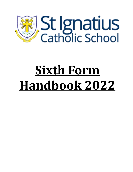

# **Sixth Form Handbook 2022**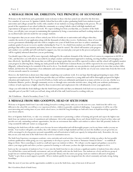## **A Message from Mr. Embleton, Vice Principal of Secondary**

Welcome to the Sixth Form and a particularly warm welcome to those who have joined our school for the first time. For a number of years now St. Ignatius Catholic School has been able to place graduating Sixth Form students in good universities and colleges around the world, with a number of our students receiving scholarships in the process. We are proud of the reputation of our school within the community as a caring Catholic school with high standards and expectations in all aspects of its life and work. We expect nothing less from you than that, as a member of the Sixth Form, you will play your own part in maintaining this reputation by being a conscientious and hard-working student and an excellent leader and role model for our younger students.

It is imperative that you are aware of how critical your AS level results are to universities and colleges when they consider the merits of your application along with the thousands of others they receive. Furthermore, those of you who receive government scholarships and who wish to complete two years of Sixth Form now have to achieve minimum academic grades if you are to receive another scholarship for Year 13. As a Sixth Form student you will be given certain privileges that reflect your maturity and status, however these must be earned. The school will monitor your progress and conduct very carefully and will work hard to support you, but you must play your part in the process and parents will be regularly informed about how you are performing.



You should expect that you will be more rigorously challenged by the academic demands of the Advanced level courses in comparison to iGCSE or CXC, and therefore you will only be successful if you adopt a mature and determined approach to studying, meeting deadlines and managing your time effectively. Specifically, this means that you will be given target grades that you will be expected to achieve and the school will regularly monitor your progress in achieving them. During any study periods in the Sixth Form Common Room you will be expected to be seen working quietly and diligently, without having to be reminded of the need to do so. You should consider any non-productive study period to be time that you have fallen behind, and therefore the importance of an enthusiastic and conscientious approach to work and the use of your non-contact time from the first week of term onwards cannot be overstated.

However, the Sixth Form is about more than simply completing your academic work. It is our hope that through participating in many of the experiences and activities that the Sixth Form provides that you will have matured as a young adult and will be thoroughly prepared for higher education and employment. Try to get involved both as a leader and as an enthusiastic participant in as many activities as you can, whether as a Eucharistic Minister, prefect, through community service or through extra-curricular activities since, along with your academic performance, evidence of such experience is highly valued by those in universities and employment who will ultimately review your applications.

I hope you will relish the fresh challenges that the Sixth Form provides and that you ultimately look back on it as an important, successful and enjoyable part of your life! I wish you well and, along with all of the staff, look forward to working with you.

#### Mr P.Embleton – Head of Secondary (Years 7-13)

## **A Message from Mrs Goodwin, head of sixth form**

Welcome to St Ignatius Sixth Form! I am really looking forward to working closely with you over the next two years. Sixth form life will be very different to the school life you will have ever experienced before, whilst it is generally considered challenging, I can guarantee it will be one of the most interesting and exciting times of your whole school career, in which life-long friendships are built and a more in depth knowledge is gained in your chosen subjects.

Here at St Ignatius Sixth Form, we take very seriously our commitment to promoting a culture of learning and growth and expect the highest standards from our students in terms of commitment and enthusiasm. Life in this outstanding, diverse and vibrant Sixth Form is based on firm values and provides not only outstanding academic opportunities, but also an environment that enables each student to achieve their full potential, further develop essential life skills and mature as young people.

Studying in the Sixth form will also enable you to become far more independent and will thoroughly prepare you for any future studies you may undertake. Your teachers will guide your studies; they will continue to insist on high standards and that you meet the deadlines you are given but you will be encouraged to develop greater personal responsibility and self motivation to build your capacity for independent study. Remember, the way that you use your study time in the Sixth Form is the secret to examination success.

The Sixth Form Experience encompasses academic, extra-curricular and social activities. Our aim is twofold: to help you achieve the best possible academic qualifications whilst giving you every opportunity to develop as a person. Our motto is "Instaurare Omnia in Christo" – to establish all things in Christ. This is something we model as a staff and expect our students to follow. We will give you the support and guidance you need to achieve your target grades and where you have a passion for learning we will ensure you have the right environment and support to do it.

Each year the vast majority of students in Year 11 move into the Sixth Form but we also welcome a significant number of students from other schools. You will find this a warm and friendly environment and you will quickly settle into the Sixth Form. Our students are a lively and diverse group of people but new students bring new perspectives and a particular vibrancy into the senior year group. Each new student is allocated a St Ignatius "buddy" to give them as much support as possible. All new students quickly become integrated into the school community and make strong, lasting friendships.

Make the most of your time and the opportunities available to you in the Sixth form, enjoy it but most of all succeed!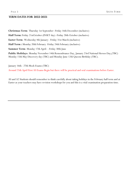#### **Term Dates for 2022-2023**

**Christmas Term**: Thursday 1st September -Friday 16th December (inclusive) **Half Term:** Friday 21stOctober (INSET day) -Friday 28th October (inclusive) **Easter Term**: Wednesday 4th January– Friday 31st March (inclusive) **Half Term :** Monday 20th February -Friday 24th February (inclusive) **Summer Term**: Monday 17th April– -Friday 30th June **Public Holidays**: Monday November 14th Remembrance Day, January 23rd National Heroes Day,(TBC) Monday 15th May Discovery day (TBC) and Monday June 12th Queens Birthday (TBC).

January 16th– 27th Mock Exams (TBC)

Around 25th April First AS Exams Begin but there will be practical and oral examinations before Easter.

AS and A2 Students should remember to think carefully about taking holidays in the February half term and at Easter as your teachers may have revision workshops for you and this is a vital examination preparation time.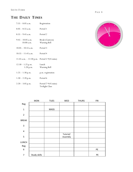# **THE DAILY TIMES**

| $7:55 - 8:05$ a.m.                           | Registration                                          |
|----------------------------------------------|-------------------------------------------------------|
| $8:05 - 8:55$ a.m.                           | Period 1                                              |
| $8:55 - 9:45$ a.m.                           | Period 2                                              |
| $9:45-10:05$ a.m.<br>$10:00$ a.m.            | Break (Canteen)<br>Warning Bell                       |
| $10:05 - 10:55$ a.m.                         | Period 3                                              |
| $10:55 - 11:45$ a.m.                         | Period 4                                              |
| 11:45 a.m. - 12:30 p.m. Period 5 * (45 mins) |                                                       |
| $12:30 - 1:25$ p.m.<br>1:20 p.m.             | Lunch<br>Warning Bell                                 |
| $1:25-1:30$ p.m.                             | p.m. registration                                     |
| $1:30-2:20$ p.m.                             | Period 6                                              |
| $2:20-3:05$ p.m.                             | Period $7*(45 \text{ mins})$<br><b>Twilight Class</b> |



|                         | <b>MON</b>   | <b>TUES</b> | WED                   | <b>THURS</b> | <b>FRI</b> |
|-------------------------|--------------|-------------|-----------------------|--------------|------------|
| Reg                     |              |             |                       |              |            |
| $\mathbf 1$             |              | MASS        |                       |              |            |
|                         |              |             |                       |              |            |
| $\overline{2}$          |              |             |                       |              |            |
| <b>BREAK</b>            |              |             |                       |              |            |
| 3                       |              |             |                       |              |            |
| $\overline{\mathbf{4}}$ |              |             |                       |              |            |
| 5                       |              |             | Tutorial/<br>Assembly |              |            |
| LUNCH                   |              |             |                       |              |            |
| Reg                     |              |             |                       |              |            |
| $\boldsymbol{6}$        |              |             |                       |              | PE         |
| $\overline{7}$          | Study skills |             |                       |              | PE         |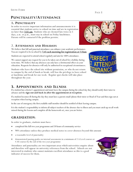# **PUNCTUALITY/ATTENDANCE**

#### **1. PUNCTUALITY**

In order to receive important information and announcements it is essential that students arrive to school on time and are in registration no later than **7:55 am**. Students who are deemed late twice in 5 days, a.m. or p.m., must stay in school on Friday lunchtimes. Parents will be contacted if the problem persists.

## 2. **ATTENDANCE AND HOLIDAYS**

We believe that full and punctual attendance can enhance your academic performance. You are required to be in school by **7.45 each morning for registration at 7.55am**

Students are expected to attend school regularly and aim for 100% attendance.

We cannot support any request for you to be taken out of school for a holiday during term time. We believe that any absences can only have a detrimental effect on your education. Requests for absences will only be authorised in exceptional circumstances.

Students who leave the school site without permission, or who do not return to campus by the end of lunch or break, will lose the privilege to leave school at lunchtime and break for one week. Regular spot checks will take place throughout the year.

## **3. APPOINTMENTS AND ILLNESS**

If a student has a doctor's appointment and must leave the campus during the school day they should notify their tutor in advance and the **sign out and back in after the appointment at reception**.

If a student becomes ill during the day they must have a parent email/phone their tutor or Head of Year and then sign out at reception when leaving campus.

In the case of emergency the first available staff member should be notified of their leaving campus.

It is the student's responsibility to inform all subject teachers of the absence due to illness and you must catch up on all work missed during the lessons and complete all the homework set, once you are better.

# **GRADUATION**:

In order to graduate, students must have:

- completed the full two year programme and 20 hours of community service
- 90% attendance unless they produce medical notes to cover absences beyond this amount
- a reasonable level of punctuality
- demonstrated passing grades on internal assessments in a minimum of 2 A Level courses or 4 AS courses by the end of the two year programme

Attendance and punctuality are two important areas which universities enquire about and therefore will appear on university references from the school. Schools are not interested in students who cannot maintain excellent attendance as this is a good indicator of success for them.







PAGE 5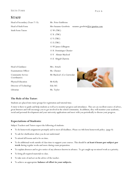$\overline{\phantom{a}}$ 

# **STAFF**

| Head of Secondary (Years 7-13)           | Mr. Peter Embleton                                     |  |  |  |  |
|------------------------------------------|--------------------------------------------------------|--|--|--|--|
| Head of Sixth Form                       | Mrs Suzanne Goodwin<br>suzanne.goodwin@st-ignatius.com |  |  |  |  |
| Sixth Form Tutors                        | 12 W (TBC)                                             |  |  |  |  |
|                                          | 12 X (TBC)                                             |  |  |  |  |
|                                          | 12 Y (TBC)                                             |  |  |  |  |
|                                          | 12 Z (TBC)                                             |  |  |  |  |
|                                          | 13 W James Lillington                                  |  |  |  |  |
|                                          | 13 X Dominique Chenier                                 |  |  |  |  |
|                                          | 13 Y Alistair Macleod                                  |  |  |  |  |
|                                          | 13 Z Abigail Chatwin                                   |  |  |  |  |
| Head of Guidance                         | Mrs. Artuch                                            |  |  |  |  |
| <b>Examinations Officer</b>              | Ms. Chenier                                            |  |  |  |  |
| <b>Community Service</b><br>Coordinator) | Mr Macleod (Co-Curricular                              |  |  |  |  |
| Physical Education                       | Mr Kelly                                               |  |  |  |  |
| Director of Technology                   | Edu 365                                                |  |  |  |  |
| Librarian                                | Ms. Taylor                                             |  |  |  |  |

#### **The Role of the Tutor:**

Students are placed into tutor groups for registration and tutorial time.

A tutor is there to guide and help students as well as to monitor progress and attendance. They are an excellent source of advice, great listeners and will encourage you to get involved in the school community. In addition, they will monitor your academic, social and personal development and your university applications and meet with you periodically to discuss your progress.

#### **Expectations of Students:**

Subject Teachers and Tutors expect the following of students:

- To do homework assignments promptly and to meet all deadlines. Please see 6th form homework policy. (page 8)
- To ask for clarification when you do not understand
- To attend all lessons and to be on time.
- To do additional work outside of class time to support your courses. This should be **at least 6 hours per subject per week** during regular weeks and more during exam preparation.
- To explain absences and to give notice of any absences known in advance. To get caught up on missed work as a priority.
- To bring all required materials to class.
- To take note of and act on the advice of the teacher.
- To achieve an appropriate **balance of effort in your subjects.**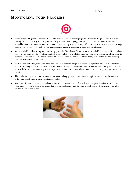# **MONITORING YOUR PROGRESS**



- When you join St Ignatius Catholic School Sixth Form we will set you target grades. These are the grades you should be striving to achieve. It may not always be easy for you to hit these target grades but we want you to refuse to settle for second best and develop an attitude that is focused on excelling in your learning. When we assess your performance through out the year we will report on how your current performance measures up against your target grades.
- We have a half termly tracking and monitoring system for Sixth Form. This means that every half term your subject teachers will give you either an effort grade or an effort and an end of year predicted grade based on the work you have been doing in class and/or assessment. This information will be shared with your parents and then during some of the Parents' evenings this information will be discussed.
- With the data collected, your form tutor and I will monitor your progress and check any problem areas. If it seems that you are struggling in a particular area we will implement strategies to help and monitor their impact. Your parents may be informed if we think they can help you to organize your time more effectively at home in order to improve your assessment results.
- Those who succeed are the ones who are determined to keep going and to try new strategies with the aims of eventually hitting that target grade in their examination results.
- Your commitment to each subject, reflecting interest, involvement and effort will also be reported on in assessments and reports. Low scores in these areas means that your tutors, teachers and the Head of Sixth Form will intervene to turn this around and re-motivate you.

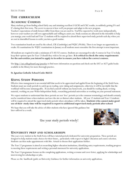# **THE CURRICULUM**

## **ACADEMIC COURSES**

Many students go from finding school fairly easy and attaining excellent I/GCSE and CXC results, to suddenly getting D's and E's during their first term. The secret to success is how well you prepare and adapt to the new program.

Teachers' expectations of sixth formers differ from those you are used to. You'll be expected to work more independently, however your teachers are still very approachable and willing to assist you. Study sessions are allocated in the timetable to help you manage your work load and Year 12 students will be required to attend these supervised study periods each day when you are not in timetabled lessons to settle you into a good routine.

Two examination boards are used by the school, CIE (Cambridge) and WJEC (Welsh). There is no longer an opportunity to retake AS examinations for WJEC examinations in January so all students must remember the first attempt is most important.

All students are required to take a minimum of 3 AS/A2 courses. Students are encouraged to take 4 courses in Year 12 to help keep their options open for Year 13 should they wish to let one go later. **It is critical to check the entry requirements for the universities you intend to apply to in order to ensure you have taken the correct courses.**

Use http://sat.collegeboard.org/practice to find more information on questions and check out the SAT or ACT guide books available in the library for more thorough practice.

#### **St. Ignatius Catholic School Code: 866124**

## **USING STUDY PERIODS**

Effective time management is an essential skill that needs to be appreciated and applied from the beginning of the Sixth Form. Students must use study periods to catch up on reading, note-taking and assignments, otherwise it will be inevitable that the workload will become unmanageable. If you find yourself without any homework, you should be reading ahead, revising material, working on your Wider Independent Study, researching potential universities or working on your personal statement.

We expect students to understand that these periods are not 'free' periods (as is the common terminology) and should certainly not be considered times when students can leave the site or distract other students. All year 12 students and Year 13 students will be required to attend the supervised study periods where attendance will be taken. **Students who cannot make good use of their study time will be required to report to additional supervised study periods after school**

We hope that you will take the advice of older students who have ignored this guidance but later suffered as a result.

Use your study periods wisely!



### **UNIVERSITY PREP AND SCHOLARSHIPS**

This year every student in the Sixth Form will have tutorial periods dedicated for university preparation. These periods are designed to help students make choices for their future, particularly with respect to higher education and course selection. Students can then make appointments with Mrs. Artuch to discuss their applications further.

The Year 12 programme is aimed at researching higher education institutions, identifying entry requirements, tracking progress to meeting these requirements and writing a personal statement for university applications.

The Year 13 programme focuses on the completing applications, writing a resume and cover letter, applying for scholarships and interviewing for scholarships or jobs.

Please see the handbook/guide on University Guidance for further information on university applications.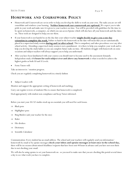# **HOMEWORK AND COURSEWORK POLICY**

- Homework and Coursework are set in order to help you develop the skills to work on your own. The tasks you are set will consolidate and reinforce your learning . **Neither homework nor coursework are optional.** We expect you to take pride in your work and make sure it is given to your teachers on time. You will be provided with guidelines for the time to be spent on homework, a computer, on which you can access Epraise which will also have all your homework and due dates on. These tools are designed to help you-use them.
- If your homework is not handed in on the due date your subject teacher **might decide to give you a one day extension to complete the work.** Failure to hand in the homework on the date will mean that you are automatically placed in a supervised study session **during and/or after school**. This is compulsory and takes precedence over any after school activity. Attending a supervised study session is not a punishment –it is there to help you complete your work and to help you develop the study habits so you can complete future tasks on time. All students struggle with homework on some occasions and subject teachers will always support you to help you understand.
- After you have been familiarized with your courses you should start to become used to the assessment demands. Independent study of **6 hours for each subject over and above any homework** is what is needed to achieve the highest grades as both AS and A Levels.
- Form Tutors will:

Take an interest in / monitor progress.

Check you are regularly completing homework in a timely fashion

Subject Leaders will:

Monitor and support the appropriate setting of homework and marking;

Carry out regular reviews of students Files to ensure that homework is completed;

Deal appropriately with student non-compliance and keep Tutors informed.

Before you start your AS/A2 studies stock up on essentials you will need for each lesson.

- $\Rightarrow$  Black pens
- $\Rightarrow$  Highlighter pens
- $\implies$  Ring Binders (ask your teacher for the size)
- $\Rightarrow$  Ruler
- $\Rightarrow$  File dividers
- $\Rightarrow$  Dictionary
- $\Rightarrow$  Scientific Calculator

Communication: Every student has an email address. The school and your teachers will regularly send you information/ homework by email or by epraise messages **check your inbox and epraise messages at least once in the school day,**  there will be no excuses about missed deadlines/requests that have been sent 48 hours in advance and you have not seen them due to not checking your email.

We will also be using epraise to set your homework on– so you need to make sure that you are checking this portal several times a day to see what work you have to complete.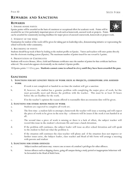# **REWARDS AND SANCTIONS**

#### **REWARDS**

#### 1. EPRAISE HOUSE POINTS

Epraise points will be awarded on the basis of consistent or exceptional effort for academic work. Points will be awarded for an A for particularly important pieces of work such as homework, assessed work or projects. Points can be awarded for consistently meeting deadlines for major pieces of assessed coursework, homework or project work.

#### 2. STUDENT OF THE WEEK

Nomination for student of the week will be given for taking part in leadership roles, demonstrating initiative or representing the school well in the wider community.

#### 3. RECORDING OF POINTS

Students should keep track of their by looking at the student profile on Epraise. Tutors and teachers will enter points directly into the electronic tracking system (Epraise). The maximum number of points issued for one reward is 3 points.

#### 4. PRESENTATION OF CERTIFICATES

Students will receive Bronze, Silver, Gold and Platinum certificates once the number of points for that certificate had been achieved. The award also appears electronically on the student's Epraise profile.

10 Epraise points = 1 Civvy pass. **Students cannot come to school in civvy until they have been awarded the pass**.

#### **SANCTIONS**

#### **1. SANCTIONS FOR KEY LENGTHY PIECES OF WORK SUCH AS PROJECTS, COURSEWORK AND ASSESSED WORK**

- a. If work is not completed or handed in on time the student will get a sanction
- b. If, however, the student has a genuine problem with completing the major piece of work, he/she must personally meet and discuss the problem with the teacher. This must be at least 24 hours before the set deadline for the work.
- c. If in the teacher's opinion the reason offered is reasonable then an extension date will be given.

#### **2. SANCTIONS FOR OTHER MINOR PIECES OF WORK**

- a. Students are expected to complete all work set.
- b. The first time a student fails to attempt a homework the teacher will issue a warning and will expect the piece of work to be given in the next day– a demerit will be issues if the work is not handed in at all.
- c. The second time a piece of work is missing or there is a lack of effort, the subject teacher will record this issue in the student's electronic file and issue a lunch detention.
- d. If the problem still continues, the subject leader will issue an after-school detention and will speak to the student to find out what the problem is.
- e. If the situation still continues the class teacher will phone and if the situation does not improve or further issues arise, the Subject leader, class teacher and Head of 6th Form will arrange a meeting with parents and student

#### **3. SANCTIONS FOR OTHER OFFENCES**

- a. Subject teachers and tutors may remove one or more of a student's privileges for other offences.
- b. Serious offences such as skipping classes, going off campus during a study period or inappropriate behaviour will be forwarded to the Head of Sixth Form.

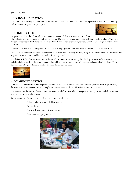#### **PHYSICAL EDUCATION**

Activities will be arranged in consultation with the students and Mr Kelly. These will take place on Friday from 1.30pm-3pm. All students are expected to participate.

#### **RELIGIOUS LIFE**



St Ignatius is a Catholic school which welcomes students of all faiths or none. As part of our Catholic ethos we do expect that students respect our Christian values and support the spiritual life of the school. There are three basic components of Religious Life in the Sixth Form. These are prayer, spiritual activities and compulsory Sixth Form Lessons.

**Prayer** - Sixth Formers are expected to participate in all prayer activities with a respectful and co-operative attitude.

**Mass** - Mass is compulsory for all students and takes place every Tuesday morning. Regardless of denomination all students are expected to show respect and be role models for younger students.

**Sixth Form RE** - This is a non-academic lesson where students are encouraged to develop, practice and deepen their own religious beliefs, spiritual development and philosophical thought irrespective of their personal denominational faith. These lessons/ retreat type reflections will be scheduled during tutorial time.



#### **COMMUNITY SERVICE**

This year **ALL students** will be required to complete 20 hours of service over the 2 year programme prior to graduation, however it is recommended that you complete it in the first term of Year 12 before exams are upon you.

Decisions about the nature of the Community Service are left to the students to negotiate although it is intended that service placements are to be school based.

Some examples: Assisting a teacher in a primary or secondary lesson

Paired reading with an individual student

Prefect duties

Assist with an extra-curricular activity

Peer mentoring programme

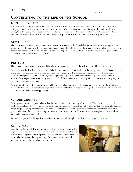# **CONTIBUTING TO THE LIFE OF THE SCHOOL**

#### **GETTING INVOLVED**

All Sixth Form students need to get involved in some aspect of student life at the school. This can range from being a prefect, student council member or a member of the concert band to assisting with charitable fund raisers throughout the year. We expect our students to be role models for the younger students both academically and in their contribution to school life. We recognise the top student(s) for their contribution at graduation.

### **MENTORING**

The mentoring scheme is an opportunity for students to pass on their skills, knowledge and experiences to a younger student within the school. Mentoring is a voluntary one to one relationship with a person who would benefit from listening to you as a positive role model. Students who are interested in becoming a mentor will be trained in the fall term and then paired with a younger student by the Head of Lower School.

## **PREFECTS**

The prefect system is made up of selected Sixth Form students who have been through a successful interview process.

Prefects have a visible role around the school in both supervision and as role models for the younger students. Prefects will act as extensions of the teaching staff by helping in a supervisory capacity, such as at break and lunchtimes, as well as on other occasions throughout the year. In addition, teams of prefects help to run service areas such as hospitality, extra-curricular activities for younger students and liturgy and service. Sixth form students who are not prefects can assist with these groups as part of their community service.

By being a prefect you will demonstrate your ability to lead others, take responsibility and support the day-to-day running of the school. Prefects will be allocated specific privileges as a reward for their service and this aspect of their work will be recognized in all university and scholarship applications.

## **SCHOOL COUNCIL**

At St. Ignatius we like everyone to know that they have a 'voice' in the running of the school. This is particularly true of the Sixth Form students whose greater experience and maturity can help to provide us with fresh ideas that will, hopefully, keep the school a happy working environment. The school council consists of tutor representatives who are elected from each tutor group. The aim of the council is to bring issues and ideas to the attention of the school's Senior Management, particularly issues surrounding aspects of student life.

We hope that you will make a positive contribution to the school through the student council or prefect system.

## **CHRISTMAS**

We all recognize that Christmas is a time for giving. Each tutor group will be required to decorate and fill a hamper for a local family. In addition, the Sixth Form students organize and run a play or talent show for the other students to enjoy. This event is not the responsibility of the prefect team, rather all students are expected to contribute in some way.

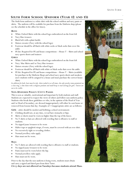# **SIXTH FORM SCHOOL UNIFORM (YEAR 12 AND 13)**

The Sixth form uniform is a white shirt with the school emblem and navy pants or skirts. The uniform will be available for purchase from the Uniform shop (please see the schedule in the office for times).

#### **BOYS**

- White Oxford Shirts with the school logo embroidered on the front left
- Navy blue trousers
- Black belt with a plain buckle
- Unisex sweater (Navy with the school logo)
- Footwear should be all black with white socks or black socks that cover the ankle
- PE kit: Required for PE and house competitions—House T Shirts and school navy sports shorts and trainers

#### **GIRLS**

- White Oxford Shirts with the school logo embroidered on the front left
- Navy blue Skirts and/or Navy blue trousers
- Unisex sweater (Navy with the school logo)
- Footwear should be all black with white or black socks that cover the ankle
- PE kit: Required for PE and house competitions—House T Shirts (available for purchase in the Uniform Shop) and school navy sports shorts and sneakers (new students will be assigned to a house and must purchase the correct house shirt)

*In addition for both: hair must be tidy, shirts tucked in at all times, the only jewelry items permitted are a class ring, a slim chain with a religious pendant and small hoop or stud earrings for girls. Tattoos are not to be visible.*

#### **NON-UNIFORM POLICY/CIVVY PASSES**

This is seen as valuable, motivational and important by both students and staff. Students are expected to respect the views of others and follow non uniform policy. Students who break these guidelines or who, in the opinion of the Head of Year and/or Head of Secondary, are dressed inappropriately will either be sent home or removed from lessons that day. Examples of —inappropriate attire are as follows:

Girls – attire should be modest and befitting a school environment:

- Clothing should not, at any time, reveal bare stomachs or hips.
- Skirts or shorts must be worn no higher than the top of the knees.
- No T-shirts or hats are allowed with wording that is offensive to staff or students.
- No ripped jeans/trousers to be worn
- Halter tops or spaghetti straps, if worn, must be covered with an over shirt.
- No excessively tight or revealing clothes.
- Normal jewellery rules apply.
- Hats must not be worn.

#### **Boys**:

- No T-shirts are allowed with wording that is offensive to staff or students.
- No ripped jeans/trousers to be worn
- Pants must not be worn below the hip.
- Normal jewellery rules apply.
- Hats must not be worn.

Prior to the day that the non-uniform is being worn, students must obtain and carry a signed and dated pass from their Tutor.

**Civvy days are not allowed on Tuesdays because students attend Mass.** 

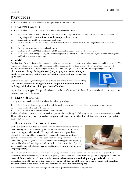# **PRIVILEGES**

Sixth Form students are provided with several privileges as outlines below.

## **1. LEAVING CAMPUS**

Sixth Form students may leave the school site on the following conditions:

- 1. Permission to leave the school site at break and lunchtime requires parental consent at the start of the year using the reply slip provided. **A new form must be completed each year**.
- 2. School uniform must be worn properly at all times.
- 3. Students must not leave school before the bell nor return to the school after the bell rings at the end of break or lunchtime.
- 4. Responsible behaviour is essential at all times.
- 5. Students must **SIGN OUT** and then **SIGN IN** again at the security office by the front gate.
- 6. If a student leaves during the day for a medical appointment or any other authorized reason, the student must sign out and back in at the reception desk.

## **2. CARS**

Another Sixth Form privilege is the opportunity to bring a car to school and travel with other students to and from school. We require that all drivers are covered by insurance and this insurance allows them to carry fellow students as passengers. In addition, we request that all parents sign a permission slip indicating if you are permitted to carry passengers. **If your** 

**circumstances change during the year (ex: you get your license) then you must get your parents to sign a new permission slip so that our records are up to date**.

Students must also recognize that parking is only available in the 2 outer school parking lots and **no car should be brought into the compound nearest the school building, this includes to pick up or drop off students.** 

Any student being dropped off or picked up between the hours of 7:45 and 3:15 should do so in the church car park and not in the compound nearest the school.

## **3. BREAK & LUNCH**

During break and lunch the Sixth Form have the following privileges:

- 1. Sixth Form students can go to the front of the lunch queue from 12:45 p.m. (after primary students are done)
- 2. Food can be taken out of the canteen.
- 3. Food can be eaten in the Sixth form common room

Students who have a duty over break or lunch are permitted to eat during the following period provided they do not have a class. **Those without a duty are required to complete their meal during the allotted time and use study periods to study, not to eat.**

## **4. USE OF THE COMMON ROOM**

Sixth Form students have their own common room which is exclusively for use by them. During lesson times and study periods this area becomes a study area for **quiet reading or other work**. We expect all students to respect this – distracting behaviour will not be accepted or tolerated. Phones for music are permitted however music cannot be played out loud during lesson time. Students found texting, watching non-subject related videos or playing games during study time will be asked to leave. Repeated offenses will result in further loss of privileges and contact home. **Cell phones may be confiscated if they are being used inappropriately.** 

At break and lunch times students may relax more, play music and eat in the common room but must make every effort to ensure that the area remains tidy by disposing of garbage in the nearby bins. Graffiti and damage to school property will not be tolerated. **Students involved in such behaviour or who distract others during study periods will not be permitted to use the room**. **If the room is left untidy at the end of the day, or if the cleaning staff complain about the state of the room, then the room will be locked the following day.** 

We hope that you will enjoy this privilege but will also respect that others wish to enjoy it too!

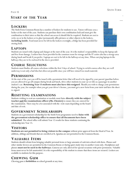# **START OF THE YEAR**

# **LOCKERS**

The Sixth Form Common Room has a number of lockers for students to use. Tutors will issue you a locker at the start of the year. Students can purchase their own combination lock and must give the combination to their tutor so that the school can access it should this be required. Students are not to write on or in the lockers or to glue/permanently affix pictures or other objects to the lockers, **including inside**. Food must never be left in the lockers overnight, a fridge has been provided for storing food.

# **LAPTOPS**

Students are issued with a laptop and charger at the start of the year. It is the student's responsibility to keep the laptop safe and free from damage. Lockers have been provided in the common room for storage and the IT centre also has a storage area during lunch and break if you prefer. Laptops are not to be left in the hallways at any time. When carrying laptops in the hallways they are to be enclosed in the sleeve provided.

# **COURSE SELECTIONS**

Students must finalize all course selections within the first 3 days of school. Trying to switch courses after they are well underway is not only a bad idea but often not possible since you will have missed too much material.

# **PERMISSIONS**

At the start of the year you will be issued with a permission letter that will need to be signed by your parent/guardian before you are allowed to go off campus during break and lunch, drive other students in your car or ride as a passenger in another student's car. **Returning Year 13 students must also have this resigned**. Should you wish to change your permissions during the year, for example when you get your driver's license, you must get a new form from your tutor and have the sheet re-signed.

# **RESITTING EXAMINATONS**

Students wishing to resit an examination or module must liaise **directly with the subject teacher and the examinations officer (Ms. Chenier)** to ensure they are entered for the examination. There may be a fee associated with the resit exam depending on the board and date of resit.

# **GOVERNMENT SCHOLARSHIPS**

Students on a government scholarship for the Sixth Form programme need to **liaise with the government scholarship office to ensure that all documents have been submitted**. The school office will submit Year 12 results for those students continuing the scholarship into Year 13.

# **VISITORS**

**Students are not permitted to bring visitors to the campus** without prior approval from the Head of Year. In addition, siblings and friends that are enrolled at St. Ignatius are not permitted in the Common Room.

# **VALUABLE ITEMS**

Students should refrain from bringing valuable personal items or large amounts of cash into school with them. Phones and other similar devices are permitted in the Common Room or during quiet study time in another room only. Headphones and phones **must not be used in the hallways.** Cameras are only allowed for special occasions with prior permission. Valuable items must never be left unattended. It is the responsibility of the student to ensure that these items are secured. Lockers are available to students for this purpose.

# **CHEWING GUM**

Chewing gum is **forbidden** on school grounds at any time.